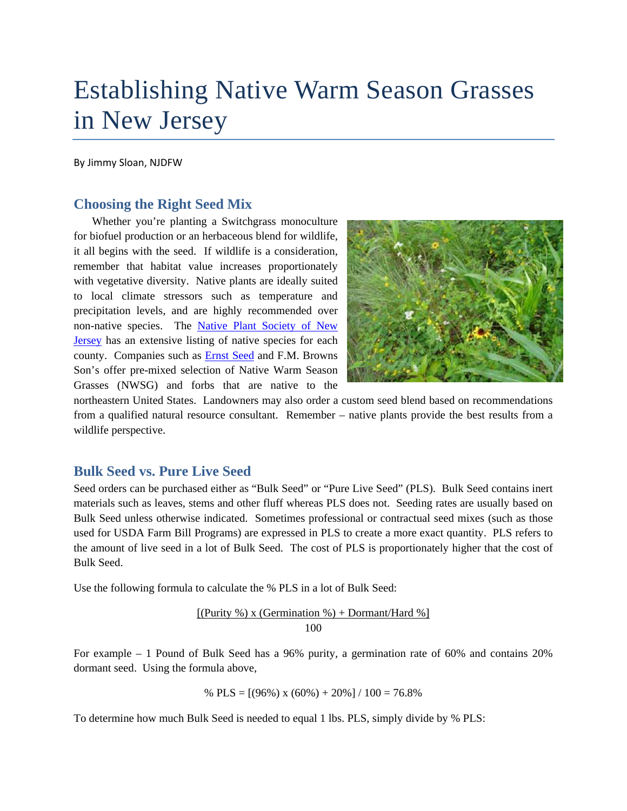# Establishing Native Warm Season Grasses in New Jersey

By Jimmy Sloan, NJDFW

#### **Choosing the Right Seed Mix**

Whether you're planting a Switchgrass monoculture for biofuel production or an herbaceous blend for wildlife, it all begins with the seed. If wildlife is a consideration, remember that habitat value increases proportionately with vegetative diversity. Native plants are ideally suited to local climate stressors such as temperature and precipitation levels, and are highly recommended over non-native species. The [Native Plant Society of New](http://www.npsnj.org/)  [Jersey](http://www.npsnj.org/) has an extensive listing of native species for each county. Companies such as [Ernst Seed](http://www.ernstseed.com/%E2%80%8E) and F.M. Browns Son's offer pre-mixed selection of Native Warm Season Grasses (NWSG) and forbs that are native to the



northeastern United States. Landowners may also order a custom seed blend based on recommendations from a qualified natural resource consultant. Remember – native plants provide the best results from a wildlife perspective.

#### **Bulk Seed vs. Pure Live Seed**

Seed orders can be purchased either as "Bulk Seed" or "Pure Live Seed" (PLS). Bulk Seed contains inert materials such as leaves, stems and other fluff whereas PLS does not. Seeding rates are usually based on Bulk Seed unless otherwise indicated. Sometimes professional or contractual seed mixes (such as those used for USDA Farm Bill Programs) are expressed in PLS to create a more exact quantity. PLS refers to the amount of live seed in a lot of Bulk Seed. The cost of PLS is proportionately higher that the cost of Bulk Seed.

Use the following formula to calculate the % PLS in a lot of Bulk Seed:

 $[(Purity %) x (German %) + Dormant / Hard %]$ 100

For example – 1 Pound of Bulk Seed has a 96% purity, a germination rate of 60% and contains 20% dormant seed. Using the formula above,

% PLS = 
$$
[(96\%) \times (60\%) + 20\%]/100 = 76.8\%
$$

To determine how much Bulk Seed is needed to equal 1 lbs. PLS, simply divide by % PLS: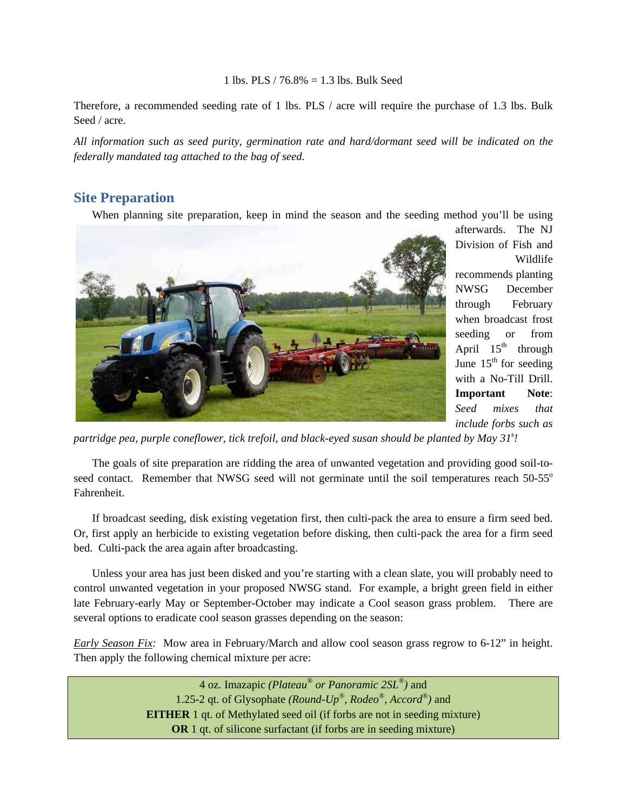#### 1 lbs. PLS / 76.8% = 1.3 lbs. Bulk Seed

Therefore, a recommended seeding rate of 1 lbs. PLS / acre will require the purchase of 1.3 lbs. Bulk Seed / acre.

*All information such as seed purity, germination rate and hard/dormant seed will be indicated on the federally mandated tag attached to the bag of seed.* 

#### **Site Preparation**

When planning site preparation, keep in mind the season and the seeding method you'll be using



afterwards. The NJ Division of Fish and Wildlife recommends planting NWSG December through February when broadcast frost seeding or from April  $15<sup>th</sup>$  through June  $15<sup>th</sup>$  for seeding with a No-Till Drill. **Important Note**: *Seed mixes that include forbs such as* 

partridge pea, purple coneflower, tick trefoil, and black-eyed susan should be planted by May 31<sup>s</sup>!

The goals of site preparation are ridding the area of unwanted vegetation and providing good soil-toseed contact. Remember that NWSG seed will not germinate until the soil temperatures reach 50-55<sup>o</sup> Fahrenheit.

If broadcast seeding, disk existing vegetation first, then culti-pack the area to ensure a firm seed bed. Or, first apply an herbicide to existing vegetation before disking, then culti-pack the area for a firm seed bed. Culti-pack the area again after broadcasting.

Unless your area has just been disked and you're starting with a clean slate, you will probably need to control unwanted vegetation in your proposed NWSG stand. For example, a bright green field in either late February-early May or September-October may indicate a Cool season grass problem. There are several options to eradicate cool season grasses depending on the season:

*Early Season Fix:* Mow area in February/March and allow cool season grass regrow to 6-12" in height. Then apply the following chemical mixture per acre:

> 4 oz. Imazapic *(Plateau® or Panoramic 2SL®)* and 1.25-2 qt. of Glysophate *(Round-Up®, Rodeo®, Accord®)* and **EITHER** 1 qt. of Methylated seed oil (if forbs are not in seeding mixture) **OR** 1 qt. of silicone surfactant (if forbs are in seeding mixture)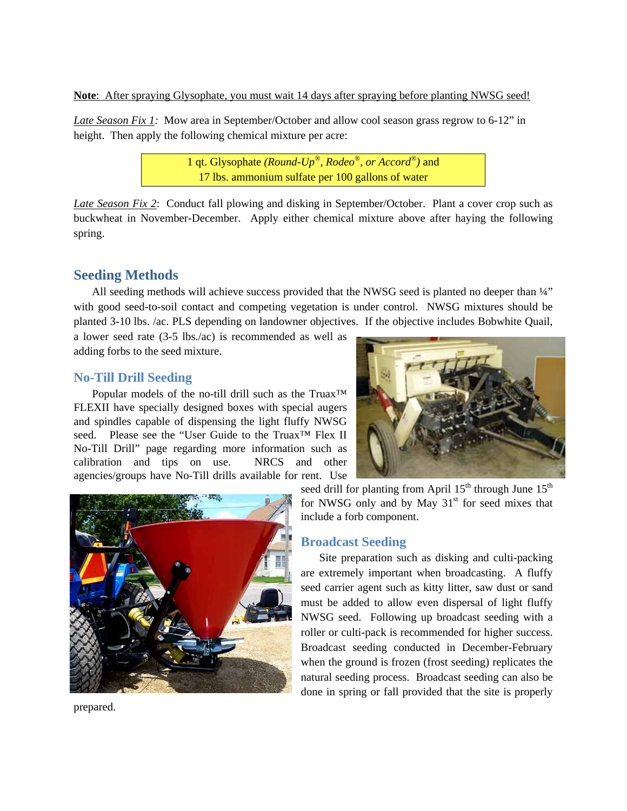**Note**: After spraying Glysophate, you must wait 14 days after spraying before planting NWSG seed!

*Late Season Fix 1:* Mow area in September/October and allow cool season grass regrow to 6-12" in height. Then apply the following chemical mixture per acre:

> 1 qt. Glysophate *(Round-Up®, Rodeo®, or Accord®)* and 17 lbs. ammonium sulfate per 100 gallons of water

*Late Season Fix 2*: Conduct fall plowing and disking in September/October. Plant a cover crop such as buckwheat in November-December. Apply either chemical mixture above after haying the following spring.

# **Seeding Methods**

All seeding methods will achieve success provided that the NWSG seed is planted no deeper than  $\frac{1}{4}$ " with good seed-to-soil contact and competing vegetation is under control. NWSG mixtures should be planted 3-10 lbs. /ac. PLS depending on landowner objectives. If the objective includes Bobwhite Quail,

a lower seed rate (3-5 lbs./ac) is recommended as well as adding forbs to the seed mixture.

# **No-Till Drill Seeding**

Popular models of the no-till drill such as the Truax<sup>™</sup> FLEXII have specially designed boxes with special augers and spindles capable of dispensing the light fluffy NWSG seed. Please see the "User Guide to the Truax™ Flex II No-Till Drill" page regarding more information such as calibration and tips on use. NRCS and other agencies/groups have No-Till drills available for rent. Use





seed drill for planting from April  $15<sup>th</sup>$  through June  $15<sup>th</sup>$ for NWSG only and by May  $31<sup>st</sup>$  for seed mixes that include a forb component.

# **Broadcast Seeding**

Site preparation such as disking and culti-packing are extremely important when broadcasting. A fluffy seed carrier agent such as kitty litter, saw dust or sand must be added to allow even dispersal of light fluffy NWSG seed. Following up broadcast seeding with a roller or culti-pack is recommended for higher success. Broadcast seeding conducted in December-February when the ground is frozen (frost seeding) replicates the natural seeding process. Broadcast seeding can also be done in spring or fall provided that the site is properly

prepared.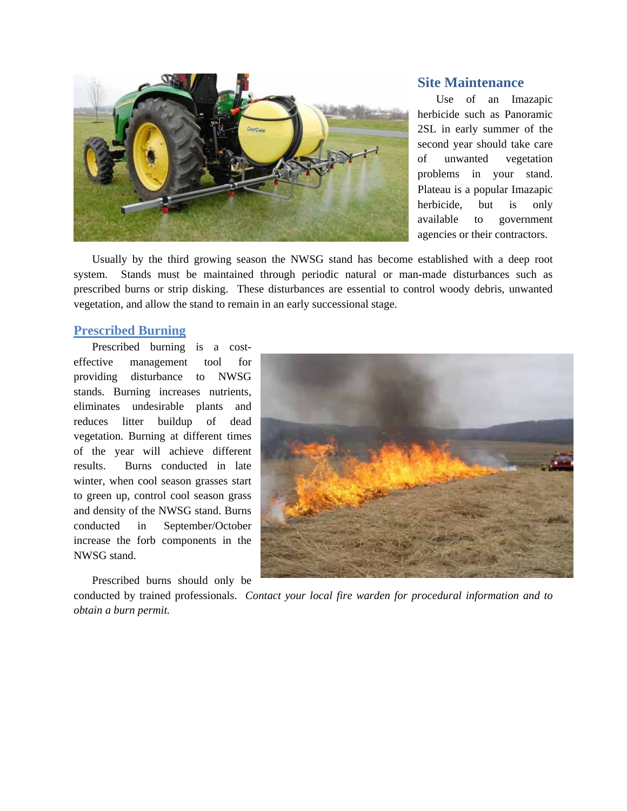

#### **Site Maintenance**

Use of an Imazapic herbicide such as Panoramic 2SL in early summer of the second year should take care of unwanted vegetation problems in your stand. Plateau is a popular Imazapic herbicide, but is only available to government agencies or their contractors.

Usually by the third growing season the NWSG stand has become established with a deep root system. Stands must be maintained through periodic natural or man-made disturbances such as prescribed burns or strip disking. These disturbances are essential to control woody debris, unwanted vegetation, and allow the stand to remain in an early successional stage.

#### **Prescribed Burning**

Prescribed burning is a costeffective management tool for providing disturbance to NWSG stands. Burning increases nutrients, eliminates undesirable plants and reduces litter buildup of dead vegetation. Burning at different times of the year will achieve different results. Burns conducted in late winter, when cool season grasses start to green up, control cool season grass and density of the NWSG stand. Burns conducted in September/October increase the forb components in the NWSG stand.

Prescribed burns should only be



conducted by trained professionals. *Contact your local fire warden for procedural information and to obtain a burn permit.*